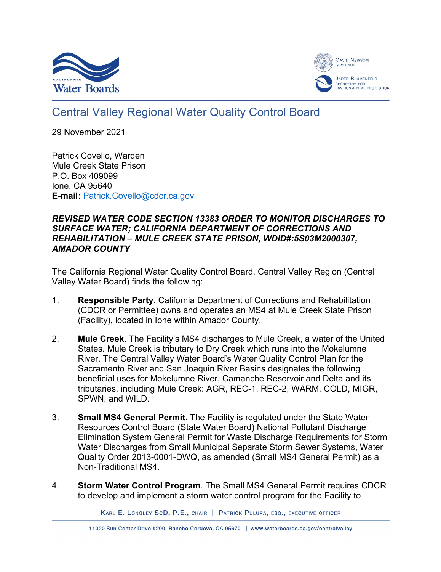



# Central Valley Regional Water Quality Control Board

29 November 2021

Patrick Covello, Warden Mule Creek State Prison P.O. Box 409099 Ione, CA 95640 **E-mail:** [Patrick.Covello@cdcr.ca.gov](mailto:Patrick.Covello@cdcr.ca.gov)

## *REVISED WATER CODE SECTION 13383 ORDER TO MONITOR DISCHARGES TO SURFACE WATER; CALIFORNIA DEPARTMENT OF CORRECTIONS AND REHABILITATION – MULE CREEK STATE PRISON, WDID#:5S03M2000307, AMADOR COUNTY*

The California Regional Water Quality Control Board, Central Valley Region (Central Valley Water Board) finds the following:

- 1. **Responsible Party**. California Department of Corrections and Rehabilitation (CDCR or Permittee) owns and operates an MS4 at Mule Creek State Prison (Facility), located in Ione within Amador County.
- 2. **Mule Creek**. The Facility's MS4 discharges to Mule Creek, a water of the United States. Mule Creek is tributary to Dry Creek which runs into the Mokelumne River. The Central Valley Water Board's Water Quality Control Plan for the Sacramento River and San Joaquin River Basins designates the following beneficial uses for Mokelumne River, Camanche Reservoir and Delta and its tributaries, including Mule Creek: AGR, REC-1, REC-2, WARM, COLD, MIGR, SPWN, and WILD.
- 3. **Small MS4 General Permit**. The Facility is regulated under the State Water Resources Control Board (State Water Board) National Pollutant Discharge Elimination System General Permit for Waste Discharge Requirements for Storm Water Discharges from Small Municipal Separate Storm Sewer Systems, Water Quality Order 2013-0001-DWQ, as amended (Small MS4 General Permit) as a Non-Traditional MS4.
- 4. **Storm Water Control Program**. The Small MS4 General Permit requires CDCR to develop and implement a storm water control program for the Facility to

KARL E. LONGLEY SCD, P.E., CHAIR | PATRICK PULUPA, ESQ., EXECUTIVE OFFICER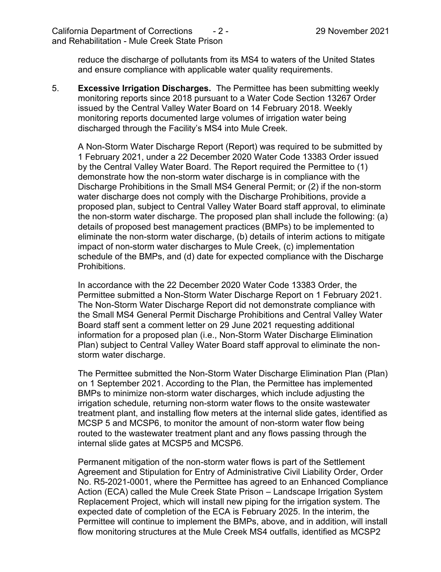reduce the discharge of pollutants from its MS4 to waters of the United States and ensure compliance with applicable water quality requirements.

5. **Excessive Irrigation Discharges.** The Permittee has been submitting weekly monitoring reports since 2018 pursuant to a Water Code Section 13267 Order issued by the Central Valley Water Board on 14 February 2018. Weekly monitoring reports documented large volumes of irrigation water being discharged through the Facility's MS4 into Mule Creek.

A Non-Storm Water Discharge Report (Report) was required to be submitted by 1 February 2021, under a 22 December 2020 Water Code 13383 Order issued by the Central Valley Water Board. The Report required the Permittee to (1) demonstrate how the non-storm water discharge is in compliance with the Discharge Prohibitions in the Small MS4 General Permit; or (2) if the non-storm water discharge does not comply with the Discharge Prohibitions, provide a proposed plan, subject to Central Valley Water Board staff approval, to eliminate the non-storm water discharge. The proposed plan shall include the following: (a) details of proposed best management practices (BMPs) to be implemented to eliminate the non-storm water discharge, (b) details of interim actions to mitigate impact of non-storm water discharges to Mule Creek, (c) implementation schedule of the BMPs, and (d) date for expected compliance with the Discharge Prohibitions.

In accordance with the 22 December 2020 Water Code 13383 Order, the Permittee submitted a Non-Storm Water Discharge Report on 1 February 2021. The Non-Storm Water Discharge Report did not demonstrate compliance with the Small MS4 General Permit Discharge Prohibitions and Central Valley Water Board staff sent a comment letter on 29 June 2021 requesting additional information for a proposed plan (i.e., Non-Storm Water Discharge Elimination Plan) subject to Central Valley Water Board staff approval to eliminate the nonstorm water discharge.

The Permittee submitted the Non-Storm Water Discharge Elimination Plan (Plan) on 1 September 2021. According to the Plan, the Permittee has implemented BMPs to minimize non-storm water discharges, which include adjusting the irrigation schedule, returning non-storm water flows to the onsite wastewater treatment plant, and installing flow meters at the internal slide gates, identified as MCSP 5 and MCSP6, to monitor the amount of non-storm water flow being routed to the wastewater treatment plant and any flows passing through the internal slide gates at MCSP5 and MCSP6.

Permanent mitigation of the non-storm water flows is part of the Settlement Agreement and Stipulation for Entry of Administrative Civil Liability Order, Order No. R5-2021-0001, where the Permittee has agreed to an Enhanced Compliance Action (ECA) called the Mule Creek State Prison – Landscape Irrigation System Replacement Project, which will install new piping for the irrigation system. The expected date of completion of the ECA is February 2025. In the interim, the Permittee will continue to implement the BMPs, above, and in addition, will install flow monitoring structures at the Mule Creek MS4 outfalls, identified as MCSP2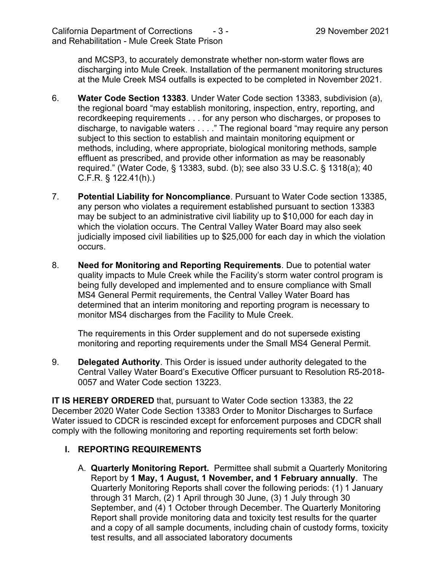and MCSP3, to accurately demonstrate whether non-storm water flows are discharging into Mule Creek. Installation of the permanent monitoring structures at the Mule Creek MS4 outfalls is expected to be completed in November 2021.

- 6. **Water Code Section 13383**. Under Water Code section 13383, subdivision (a), the regional board "may establish monitoring, inspection, entry, reporting, and recordkeeping requirements . . . for any person who discharges, or proposes to discharge, to navigable waters . . . ." The regional board "may require any person subject to this section to establish and maintain monitoring equipment or methods, including, where appropriate, biological monitoring methods, sample effluent as prescribed, and provide other information as may be reasonably required." (Water Code, § 13383, subd. (b); see also 33 U.S.C. § 1318(a); 40 C.F.R. § 122.41(h).)
- 7. **Potential Liability for Noncompliance**. Pursuant to Water Code section 13385, any person who violates a requirement established pursuant to section 13383 may be subject to an administrative civil liability up to \$10,000 for each day in which the violation occurs. The Central Valley Water Board may also seek judicially imposed civil liabilities up to \$25,000 for each day in which the violation occurs.
- 8. **Need for Monitoring and Reporting Requirements**. Due to potential water quality impacts to Mule Creek while the Facility's storm water control program is being fully developed and implemented and to ensure compliance with Small MS4 General Permit requirements, the Central Valley Water Board has determined that an interim monitoring and reporting program is necessary to monitor MS4 discharges from the Facility to Mule Creek.

The requirements in this Order supplement and do not supersede existing monitoring and reporting requirements under the Small MS4 General Permit.

9. **Delegated Authority**. This Order is issued under authority delegated to the Central Valley Water Board's Executive Officer pursuant to Resolution R5-2018- 0057 and Water Code section 13223.

**IT IS HEREBY ORDERED** that, pursuant to Water Code section 13383, the 22 December 2020 Water Code Section 13383 Order to Monitor Discharges to Surface Water issued to CDCR is rescinded except for enforcement purposes and CDCR shall comply with the following monitoring and reporting requirements set forth below:

# **I. REPORTING REQUIREMENTS**

A. **Quarterly Monitoring Report.** Permittee shall submit a Quarterly Monitoring Report by **1 May, 1 August, 1 November, and 1 February annually**. The Quarterly Monitoring Reports shall cover the following periods: (1) 1 January through 31 March, (2) 1 April through 30 June, (3) 1 July through 30 September, and (4) 1 October through December. The Quarterly Monitoring Report shall provide monitoring data and toxicity test results for the quarter and a copy of all sample documents, including chain of custody forms, toxicity test results, and all associated laboratory documents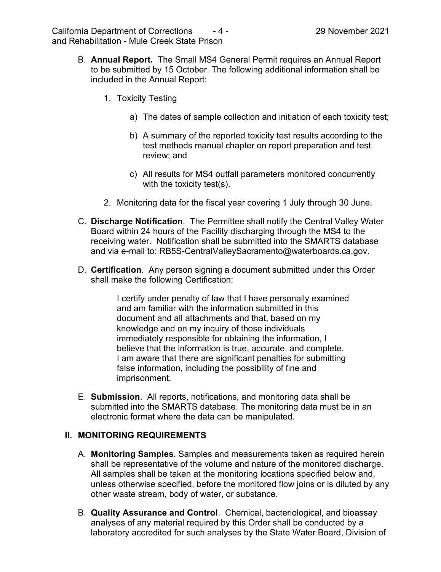- B. **Annual Report.** The Small MS4 General Permit requires an Annual Report to be submitted by 15 October. The following additional information shall be included in the Annual Report:
	- 1. Toxicity Testing
		- a) The dates of sample collection and initiation of each toxicity test;
		- b) A summary of the reported toxicity test results according to the test methods manual chapter on report preparation and test review; and
		- c) All results for MS4 outfall parameters monitored concurrently with the toxicity test(s).
	- 2. Monitoring data for the fiscal year covering 1 July through 30 June.
- C. **Discharge Notification**. The Permittee shall notify the Central Valley Water Board within 24 hours of the Facility discharging through the MS4 to the receiving water. Notification shall be submitted into the SMARTS database and via e-mail to: RB5S-CentralValleySacramento@waterboards.ca.gov.
- D. **Certification**. Any person signing a document submitted under this Order shall make the following Certification:

I certify under penalty of law that I have personally examined and am familiar with the information submitted in this document and all attachments and that, based on my knowledge and on my inquiry of those individuals immediately responsible for obtaining the information, I believe that the information is true, accurate, and complete. I am aware that there are significant penalties for submitting false information, including the possibility of fine and imprisonment.

E. **Submission**. All reports, notifications, and monitoring data shall be submitted into the SMARTS database. The monitoring data must be in an electronic format where the data can be manipulated.

### **II. MONITORING REQUIREMENTS**

- A. **Monitoring Samples**. Samples and measurements taken as required herein shall be representative of the volume and nature of the monitored discharge. All samples shall be taken at the monitoring locations specified below and, unless otherwise specified, before the monitored flow joins or is diluted by any other waste stream, body of water, or substance.
- B. **Quality Assurance and Control**. Chemical, bacteriological, and bioassay analyses of any material required by this Order shall be conducted by a laboratory accredited for such analyses by the State Water Board, Division of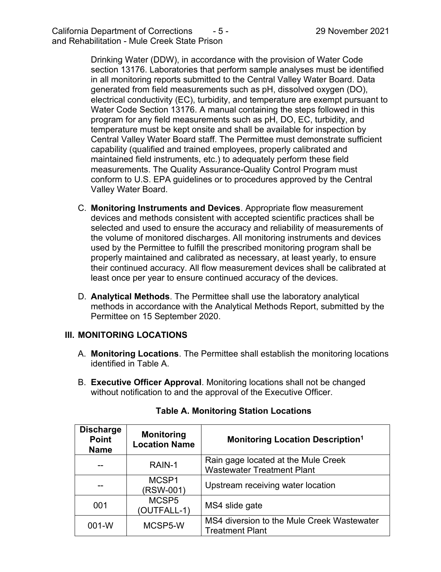Drinking Water (DDW), in accordance with the provision of Water Code section 13176. Laboratories that perform sample analyses must be identified in all monitoring reports submitted to the Central Valley Water Board. Data generated from field measurements such as pH, dissolved oxygen (DO), electrical conductivity (EC), turbidity, and temperature are exempt pursuant to Water Code Section 13176. A manual containing the steps followed in this program for any field measurements such as pH, DO, EC, turbidity, and temperature must be kept onsite and shall be available for inspection by Central Valley Water Board staff. The Permittee must demonstrate sufficient capability (qualified and trained employees, properly calibrated and maintained field instruments, etc.) to adequately perform these field measurements. The Quality Assurance-Quality Control Program must conform to U.S. EPA guidelines or to procedures approved by the Central Valley Water Board.

- C. **Monitoring Instruments and Devices**. Appropriate flow measurement devices and methods consistent with accepted scientific practices shall be selected and used to ensure the accuracy and reliability of measurements of the volume of monitored discharges. All monitoring instruments and devices used by the Permittee to fulfill the prescribed monitoring program shall be properly maintained and calibrated as necessary, at least yearly, to ensure their continued accuracy. All flow measurement devices shall be calibrated at least once per year to ensure continued accuracy of the devices.
- D. **Analytical Methods**. The Permittee shall use the laboratory analytical methods in accordance with the Analytical Methods Report, submitted by the Permittee on 15 September 2020.

# **III. MONITORING LOCATIONS**

- A. **Monitoring Locations**. The Permittee shall establish the monitoring locations identified in Table A.
- B. **Executive Officer Approval**. Monitoring locations shall not be changed without notification to and the approval of the Executive Officer.

| <b>Discharge</b><br><b>Point</b><br><b>Name</b> | <b>Monitoring</b><br><b>Location Name</b> | <b>Monitoring Location Description<sup>1</sup></b>                       |
|-------------------------------------------------|-------------------------------------------|--------------------------------------------------------------------------|
|                                                 | RAIN-1                                    | Rain gage located at the Mule Creek<br><b>Wastewater Treatment Plant</b> |
|                                                 | MCSP1<br>(RSW-001)                        | Upstream receiving water location                                        |
| 001                                             | MCSP <sub>5</sub><br>(OUTFALL-1)          | MS4 slide gate                                                           |
| $001-W$                                         | MCSP5-W                                   | MS4 diversion to the Mule Creek Wastewater<br><b>Treatment Plant</b>     |

# **Table A. Monitoring Station Locations**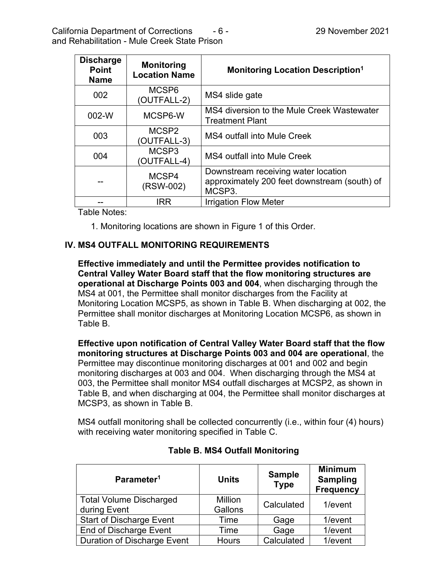| <b>Discharge</b><br><b>Point</b><br><b>Name</b> | <b>Monitoring</b><br><b>Location Name</b> | <b>Monitoring Location Description<sup>1</sup></b>                                            |
|-------------------------------------------------|-------------------------------------------|-----------------------------------------------------------------------------------------------|
| 002                                             | MCSP <sub>6</sub><br>(OUTFALL-2)          | MS4 slide gate                                                                                |
| 002-W                                           | MCSP6-W                                   | MS4 diversion to the Mule Creek Wastewater<br><b>Treatment Plant</b>                          |
| 003                                             | MCSP <sub>2</sub><br>(OUTFALL-3)          | <b>MS4 outfall into Mule Creek</b>                                                            |
| 004                                             | MCSP <sub>3</sub><br>(OUTFALL-4)          | MS4 outfall into Mule Creek                                                                   |
|                                                 | MCSP4<br>(RSW-002)                        | Downstream receiving water location<br>approximately 200 feet downstream (south) of<br>MCSP3. |
|                                                 | IRR                                       | <b>Irrigation Flow Meter</b>                                                                  |

Table Notes:

1. Monitoring locations are shown in Figure 1 of this Order.

### **IV. MS4 OUTFALL MONITORING REQUIREMENTS**

**Effective immediately and until the Permittee provides notification to Central Valley Water Board staff that the flow monitoring structures are operational at Discharge Points 003 and 004**, when discharging through the MS4 at 001, the Permittee shall monitor discharges from the Facility at Monitoring Location MCSP5, as shown in Table B. When discharging at 002, the Permittee shall monitor discharges at Monitoring Location MCSP6, as shown in Table B.

**Effective upon notification of Central Valley Water Board staff that the flow monitoring structures at Discharge Points 003 and 004 are operational**, the Permittee may discontinue monitoring discharges at 001 and 002 and begin monitoring discharges at 003 and 004. When discharging through the MS4 at 003, the Permittee shall monitor MS4 outfall discharges at MCSP2, as shown in Table B, and when discharging at 004, the Permittee shall monitor discharges at MCSP3, as shown in Table B.

MS4 outfall monitoring shall be collected concurrently (i.e., within four (4) hours) with receiving water monitoring specified in Table C.

| Parameter <sup>1</sup>                         | <b>Units</b>              | <b>Sample</b><br><b>Type</b> | <b>Minimum</b><br><b>Sampling</b><br><b>Frequency</b> |
|------------------------------------------------|---------------------------|------------------------------|-------------------------------------------------------|
| <b>Total Volume Discharged</b><br>during Event | <b>Million</b><br>Gallons | Calculated                   | 1/event                                               |
| <b>Start of Discharge Event</b>                | Time                      | Gage                         | 1/event                                               |
| <b>End of Discharge Event</b>                  | Time                      | Gage                         | 1/event                                               |
| <b>Duration of Discharge Event</b>             | <b>Hours</b>              | Calculated                   | 1/event                                               |

# **Table B. MS4 Outfall Monitoring**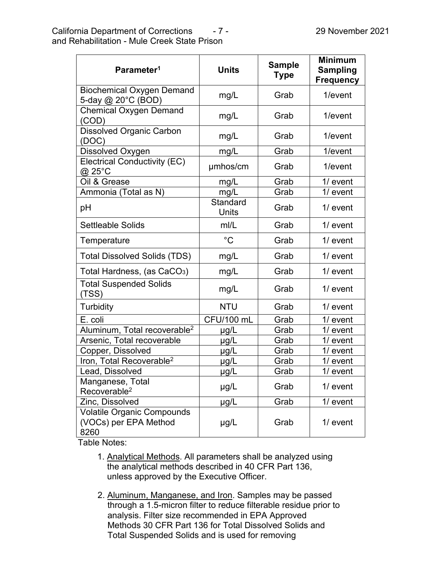| Parameter <sup>1</sup>                                             | <b>Units</b>             | <b>Sample</b><br><b>Type</b> | <b>Minimum</b><br><b>Sampling</b><br><b>Frequency</b> |
|--------------------------------------------------------------------|--------------------------|------------------------------|-------------------------------------------------------|
| <b>Biochemical Oxygen Demand</b><br>5-day @ 20°C (BOD)             | mg/L                     | Grab                         | 1/event                                               |
| <b>Chemical Oxygen Demand</b><br>(COD)                             | mg/L                     | Grab                         | 1/event                                               |
| <b>Dissolved Organic Carbon</b><br>(DOC)                           | mg/L                     | Grab                         | 1/event                                               |
| Dissolved Oxygen                                                   | mg/L                     | Grab                         | 1/event                                               |
| <b>Electrical Conductivity (EC)</b><br>@ 25°C                      | umhos/cm                 | Grab                         | 1/event                                               |
| Oil & Grease                                                       | mg/L                     | Grab                         | $1/$ event                                            |
| Ammonia (Total as N)                                               | mg/L                     | Grab                         | $1/$ event                                            |
| рH                                                                 | Standard<br><b>Units</b> | Grab                         | $1/$ event                                            |
| <b>Settleable Solids</b>                                           | mI/L                     | Grab                         | $1/$ event                                            |
| Temperature                                                        | $^{\circ}C$              | Grab                         | $1/$ event                                            |
| <b>Total Dissolved Solids (TDS)</b>                                | mg/L                     | Grab                         | $1/$ event                                            |
| Total Hardness, (as CaCO <sub>3</sub> )                            | mg/L                     | Grab                         | $1/$ event                                            |
| <b>Total Suspended Solids</b><br>(TSS)                             | mg/L                     | Grab                         | $1/$ event                                            |
| <b>Turbidity</b>                                                   | <b>NTU</b>               | Grab                         | $1/$ event                                            |
| E. coli                                                            | CFU/100 mL               | Grab                         | $1/$ event                                            |
| Aluminum, Total recoverable <sup>2</sup>                           | µg/L                     | Grab                         | $1/$ event                                            |
| Arsenic, Total recoverable                                         | $\mu$ g/L                | Grab                         | 1/ event                                              |
| Copper, Dissolved                                                  | µg/L                     | Grab                         | $1/$ event                                            |
| Iron, Total Recoverable <sup>2</sup>                               | $\mu$ g/L                | Grab                         | $1/$ event                                            |
| Lead, Dissolved                                                    | µg/L                     | Grab                         | $1/$ event                                            |
| Manganese, Total<br>Recoverable <sup>2</sup>                       | $\mu$ g/L                | Grab                         | $1/$ event                                            |
| Zinc, Dissolved                                                    | $\mu$ g/L                | Grab                         | $1/$ event                                            |
| <b>Volatile Organic Compounds</b><br>(VOCs) per EPA Method<br>8260 | $\mu$ g/L                | Grab                         | $1/$ event                                            |

Table Notes:

- 1. Analytical Methods. All parameters shall be analyzed using the analytical methods described in 40 CFR Part 136, unless approved by the Executive Officer.
- 2. Aluminum, Manganese, and Iron. Samples may be passed through a 1.5-micron filter to reduce filterable residue prior to analysis. Filter size recommended in EPA Approved Methods 30 CFR Part 136 for Total Dissolved Solids and Total Suspended Solids and is used for removing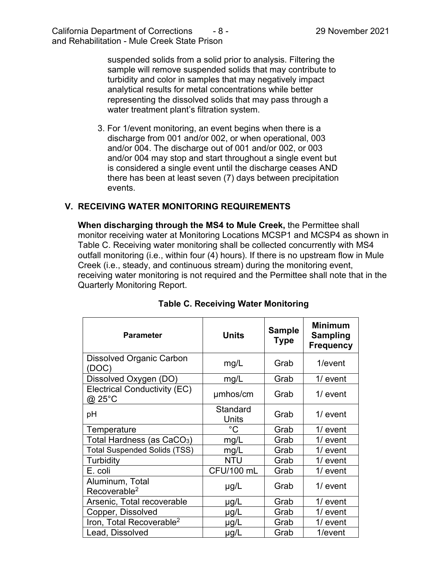suspended solids from a solid prior to analysis. Filtering the sample will remove suspended solids that may contribute to turbidity and color in samples that may negatively impact analytical results for metal concentrations while better representing the dissolved solids that may pass through a water treatment plant's filtration system.

3. For 1/event monitoring, an event begins when there is a discharge from 001 and/or 002, or when operational, 003 and/or 004. The discharge out of 001 and/or 002, or 003 and/or 004 may stop and start throughout a single event but is considered a single event until the discharge ceases AND there has been at least seven (7) days between precipitation events.

## **V. RECEIVING WATER MONITORING REQUIREMENTS**

**When discharging through the MS4 to Mule Creek,** the Permittee shall monitor receiving water at Monitoring Locations MCSP1 and MCSP4 as shown in Table C. Receiving water monitoring shall be collected concurrently with MS4 outfall monitoring (i.e., within four (4) hours). If there is no upstream flow in Mule Creek (i.e., steady, and continuous stream) during the monitoring event, receiving water monitoring is not required and the Permittee shall note that in the Quarterly Monitoring Report.

| <b>Parameter</b>                                   | <b>Units</b>             | <b>Sample</b><br><b>Type</b> | <b>Minimum</b><br><b>Sampling</b><br><b>Frequency</b> |
|----------------------------------------------------|--------------------------|------------------------------|-------------------------------------------------------|
| <b>Dissolved Organic Carbon</b><br>(DOC)           | mg/L                     | Grab                         | 1/event                                               |
| Dissolved Oxygen (DO)                              | mg/L                     | Grab                         | $1/$ event                                            |
| <b>Electrical Conductivity (EC)</b><br>$@$ 25 $°C$ | umhos/cm                 | Grab                         | $1/$ event                                            |
| pH                                                 | Standard<br><b>Units</b> | Grab                         | $1/$ event                                            |
| Temperature                                        | $^{\circ}C$              | Grab                         | 1/ event                                              |
| Total Hardness (as CaCO <sub>3</sub> )             | mg/L                     | Grab                         | $1/$ event                                            |
| <b>Total Suspended Solids (TSS)</b>                | mg/L                     | Grab                         | 1/ event                                              |
| Turbidity                                          | <b>NTU</b>               | Grab                         | $1/$ event                                            |
| E. coli                                            | CFU/100 mL               | Grab                         | $1/$ event                                            |
| Aluminum, Total<br>Recoverable <sup>2</sup>        | $\mu$ g/L                | Grab                         | $1/$ event                                            |
| Arsenic, Total recoverable                         | $\mu$ g/L                | Grab                         | 1/ event                                              |
| Copper, Dissolved                                  | $\mu$ g/L                | Grab                         | 1/ event                                              |
| Iron, Total Recoverable <sup>2</sup>               | $\mu$ g/L                | Grab                         | $1/$ event                                            |
| Lead, Dissolved                                    | µg/L                     | Grab                         | $1/e$ vent                                            |

# **Table C. Receiving Water Monitoring**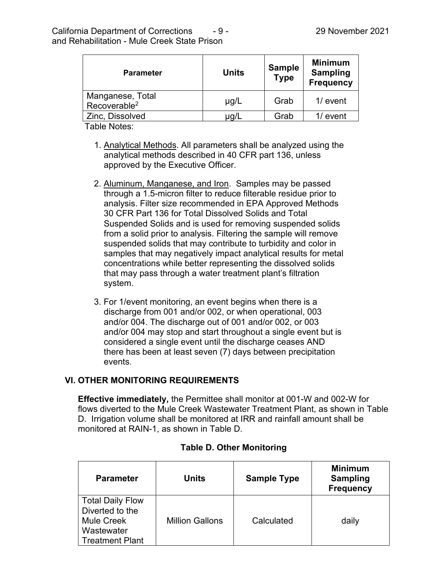| <b>Parameter</b>                             | <b>Units</b> | <b>Sample</b><br><b>Type</b> | <b>Minimum</b><br><b>Sampling</b><br><b>Frequency</b> |
|----------------------------------------------|--------------|------------------------------|-------------------------------------------------------|
| Manganese, Total<br>Recoverable <sup>2</sup> | $\mu$ g/L    | Grab                         | $1/$ event                                            |
| Zinc, Dissolved                              |              | Grab                         | $1/$ event                                            |

Table Notes:

- 1. Analytical Methods. All parameters shall be analyzed using the analytical methods described in 40 CFR part 136, unless approved by the Executive Officer.
- 2. Aluminum, Manganese, and Iron. Samples may be passed through a 1.5-micron filter to reduce filterable residue prior to analysis. Filter size recommended in EPA Approved Methods 30 CFR Part 136 for Total Dissolved Solids and Total Suspended Solids and is used for removing suspended solids from a solid prior to analysis. Filtering the sample will remove suspended solids that may contribute to turbidity and color in samples that may negatively impact analytical results for metal concentrations while better representing the dissolved solids that may pass through a water treatment plant's filtration system.
- 3. For 1/event monitoring, an event begins when there is a discharge from 001 and/or 002, or when operational, 003 and/or 004. The discharge out of 001 and/or 002, or 003 and/or 004 may stop and start throughout a single event but is considered a single event until the discharge ceases AND there has been at least seven (7) days between precipitation events.

# **VI. OTHER MONITORING REQUIREMENTS**

**Effective immediately,** the Permittee shall monitor at 001-W and 002-W for flows diverted to the Mule Creek Wastewater Treatment Plant, as shown in Table D. Irrigation volume shall be monitored at IRR and rainfall amount shall be monitored at RAIN-1, as shown in Table D.

| <b>Parameter</b>                                                                                        | <b>Units</b>           | <b>Sample Type</b> | <b>Minimum</b><br><b>Sampling</b><br><b>Frequency</b> |
|---------------------------------------------------------------------------------------------------------|------------------------|--------------------|-------------------------------------------------------|
| <b>Total Daily Flow</b><br>Diverted to the<br><b>Mule Creek</b><br>Wastewater<br><b>Treatment Plant</b> | <b>Million Gallons</b> | Calculated         | daily                                                 |

### **Table D. Other Monitoring**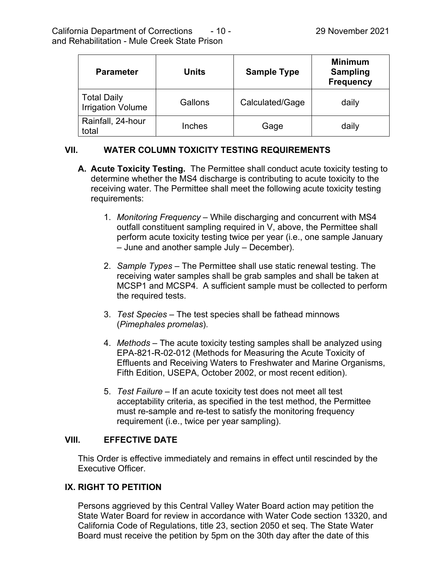| <b>Parameter</b>                        | Units   | <b>Sample Type</b> | <b>Minimum</b><br><b>Sampling</b><br><b>Frequency</b> |
|-----------------------------------------|---------|--------------------|-------------------------------------------------------|
| Total Daily<br><b>Irrigation Volume</b> | Gallons | Calculated/Gage    | daily                                                 |
| Rainfall, 24-hour<br>total              | Inches  | Gage               | daily                                                 |

# **VII. WATER COLUMN TOXICITY TESTING REQUIREMENTS**

- **A. Acute Toxicity Testing.** The Permittee shall conduct acute toxicity testing to determine whether the MS4 discharge is contributing to acute toxicity to the receiving water. The Permittee shall meet the following acute toxicity testing requirements:
	- 1. *Monitoring Frequency* While discharging and concurrent with MS4 outfall constituent sampling required in V, above, the Permittee shall perform acute toxicity testing twice per year (i.e., one sample January – June and another sample July – December).
	- 2. *Sample Types* The Permittee shall use static renewal testing. The receiving water samples shall be grab samples and shall be taken at MCSP1 and MCSP4. A sufficient sample must be collected to perform the required tests.
	- 3. *Test Species* The test species shall be fathead minnows (*Pimephales promelas*).
	- 4. *Methods* The acute toxicity testing samples shall be analyzed using EPA-821-R-02-012 (Methods for Measuring the Acute Toxicity of Effluents and Receiving Waters to Freshwater and Marine Organisms, Fifth Edition, USEPA, October 2002, or most recent edition).
	- 5. *Test Failure* If an acute toxicity test does not meet all test acceptability criteria, as specified in the test method, the Permittee must re-sample and re-test to satisfy the monitoring frequency requirement (i.e., twice per year sampling).

# **VIII. EFFECTIVE DATE**

This Order is effective immediately and remains in effect until rescinded by the Executive Officer.

# **IX. RIGHT TO PETITION**

Persons aggrieved by this Central Valley Water Board action may petition the State Water Board for review in accordance with Water Code section 13320, and California Code of Regulations, title 23, section 2050 et seq. The State Water Board must receive the petition by 5pm on the 30th day after the date of this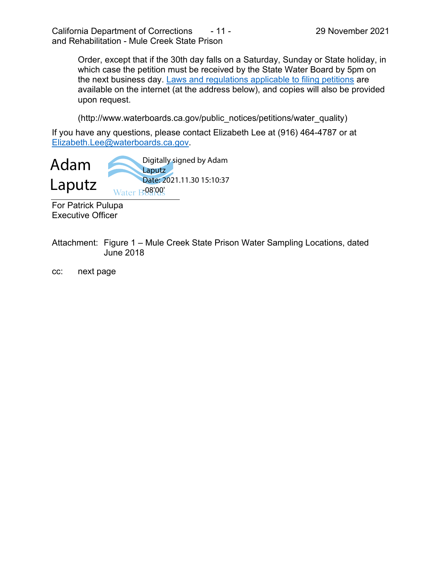Order, except that if the 30th day falls on a Saturday, Sunday or State holiday, in which case the petition must be received by the State Water Board by 5pm on the next business day. [Laws and regulations applicable to filing petitions](http://www.waterboards.ca.gov/public_notices/petitions/water_quality) are available on the internet (at the address below), and copies will also be provided upon request.

(http://www.waterboards.ca.gov/public\_notices/petitions/water\_quality)

If you have any questions, please contact Elizabeth Lee at (916) 464-4787 or at [Elizabeth.Lee@waterboards.ca.gov.](mailto:XXX.XXXX@waterboards.ca.gov)



For Patrick Pulupa Executive Officer

Attachment: Figure 1 – Mule Creek State Prison Water Sampling Locations, dated June 2018

cc: next page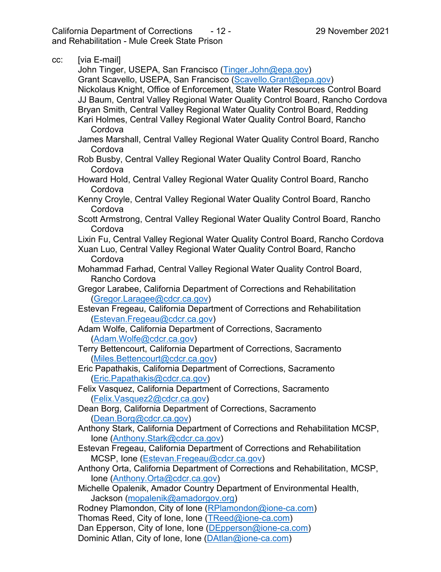California Department of Corrections - 12 - 29 November 2021 and Rehabilitation - Mule Creek State Prison

| CC: | [via E-mail]                                                                                  |
|-----|-----------------------------------------------------------------------------------------------|
|     | John Tinger, USEPA, San Francisco (Tinger.John@epa.gov)                                       |
|     | Grant Scavello, USEPA, San Francisco (Scavello.Grant@epa.gov)                                 |
|     | Nickolaus Knight, Office of Enforcement, State Water Resources Control Board                  |
|     | JJ Baum, Central Valley Regional Water Quality Control Board, Rancho Cordova                  |
|     | Bryan Smith, Central Valley Regional Water Quality Control Board, Redding                     |
|     | Kari Holmes, Central Valley Regional Water Quality Control Board, Rancho                      |
|     | Cordova                                                                                       |
|     | James Marshall, Central Valley Regional Water Quality Control Board, Rancho                   |
|     | Cordova                                                                                       |
|     | Rob Busby, Central Valley Regional Water Quality Control Board, Rancho                        |
|     | Cordova                                                                                       |
|     | Howard Hold, Central Valley Regional Water Quality Control Board, Rancho                      |
|     | Cordova                                                                                       |
|     | Kenny Croyle, Central Valley Regional Water Quality Control Board, Rancho                     |
|     | Cordova                                                                                       |
|     | Scott Armstrong, Central Valley Regional Water Quality Control Board, Rancho                  |
|     | Cordova                                                                                       |
|     | Lixin Fu, Central Valley Regional Water Quality Control Board, Rancho Cordova                 |
|     | Xuan Luo, Central Valley Regional Water Quality Control Board, Rancho                         |
|     | Cordova                                                                                       |
|     | Mohammad Farhad, Central Valley Regional Water Quality Control Board,                         |
|     | Rancho Cordova                                                                                |
|     | Gregor Larabee, California Department of Corrections and Rehabilitation                       |
|     | (Gregor.Laragee@cdcr.ca.gov)                                                                  |
|     | Estevan Fregeau, California Department of Corrections and Rehabilitation                      |
|     | (Estevan.Fregeau@cdcr.ca.gov)<br>Adam Wolfe, California Department of Corrections, Sacramento |
|     | (Adam.Wolfe@cdcr.ca.gov)                                                                      |
|     | Terry Bettencourt, California Department of Corrections, Sacramento                           |
|     | (Miles.Bettencourt@cdcr.ca.gov)                                                               |
|     | Eric Papathakis, California Department of Corrections, Sacramento                             |
|     | (Eric.Papathakis@cdcr.ca.gov)                                                                 |
|     | Felix Vasquez, California Department of Corrections, Sacramento                               |
|     | (Felix.Vasquez2@cdcr.ca.gov)                                                                  |
|     | Dean Borg, California Department of Corrections, Sacramento                                   |
|     | (Dean.Borg@cdcr.ca.gov)                                                                       |
|     | Anthony Stark, California Department of Corrections and Rehabilitation MCSP,                  |
|     | Ione (Anthony.Stark@cdcr.ca.gov)                                                              |
|     | Estevan Fregeau, California Department of Corrections and Rehabilitation                      |
|     | MCSP, Ione (Estevan.Fregeau@cdcr.ca.gov)                                                      |
|     | Anthony Orta, California Department of Corrections and Rehabilitation, MCSP,                  |
|     | Ione (Anthony.Orta@cdcr.ca.gov)                                                               |
|     | Michelle Opalenik, Amador Country Department of Environmental Health,                         |
|     | Jackson (mopalenik@amadorgov.org)                                                             |
|     | Rodney Plamondon, City of Ione (RPlamondon@ione-ca.com)                                       |
|     | Thomas Reed, City of Ione, Ione (TReed@ione-ca.com)                                           |
|     | Dan Epperson, City of Ione, Ione (DEpperson@ione-ca.com)                                      |
|     | Dominic Atlan, City of Ione, Ione (DAtlan@ione-ca.com)                                        |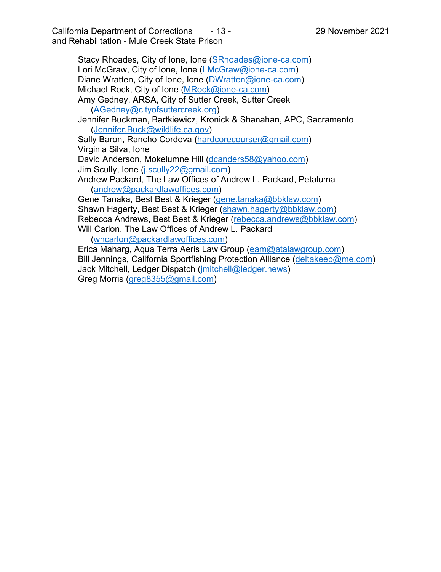California Department of Corrections - 13 - 29 November 2021 and Rehabilitation - Mule Creek State Prison

Stacy Rhoades, City of Ione, Ione [\(SRhoades@ione-ca.com\)](mailto:SRhoades@ione-ca.com) Lori McGraw, City of Ione, Ione ([LMcGraw@ione-ca.com\)](mailto:LMcGraw@ione-ca.com) Diane Wratten, City of Ione, Ione ([DWratten@ione-ca.com\)](mailto:DWratten@ione-ca.com) Michael Rock, City of Ione ([MRock@ione-ca.com\)](mailto:MRock@ione-ca.com) Amy Gedney, ARSA, City of Sutter Creek, Sutter Creek ([AGedney@cityofsuttercreek.org](mailto:AGedney@cityofsuttercreek.org)) Jennifer Buckman, Bartkiewicz, Kronick & Shanahan, APC, Sacramento ([Jennifer.Buck@wildlife.ca.gov\)](mailto:Jennifer.Buck@wildlife.ca.gov) Sally Baron, Rancho Cordova [\(hardcorecourser@gmail.com\)](mailto:hardcorecourser@gmail.com) Virginia Silva, Ione David Anderson, Mokelumne Hill [\(dcanders58@yahoo.com](mailto:dcanders58@yahoo.com)) Jim Scully, Ione [\(j.scully22@gmail.com](mailto:j.scully22@gmail.com)) Andrew Packard, The Law Offices of Andrew L. Packard, Petaluma ([andrew@packardlawoffices.com](mailto:andrew@packardlawoffices.com)) Gene Tanaka, Best Best & Krieger ([gene.tanaka@bbklaw.com](mailto:gene.tanaka@bbklaw.com)) Shawn Hagerty, Best Best & Krieger ([shawn.hagerty@bbklaw.com](mailto:shawn.hagerty@bbklaw.com)) Rebecca Andrews, Best Best & Krieger [\(rebecca.andrews@bbklaw.com](mailto:rebecca.andrews@bbklaw.com)) Will Carlon, The Law Offices of Andrew L. Packard ([wncarlon@packardlawoffices.com\)](mailto:wncarlon@packardlawoffices.com) Erica Maharg, Aqua Terra Aeris Law Group [\(eam@atalawgroup.com](mailto:eam@atalawgroup.com)) Bill Jennings, California Sportfishing Protection Alliance ([deltakeep@me.com](mailto:deltakeep@me.com)) Jack Mitchell, Ledger Dispatch [\(jmitchell@ledger.news](mailto:jmitchell@ledger.news)) Greg Morris ([greg8355@gmail.com](mailto:greg8355@gmail.com))